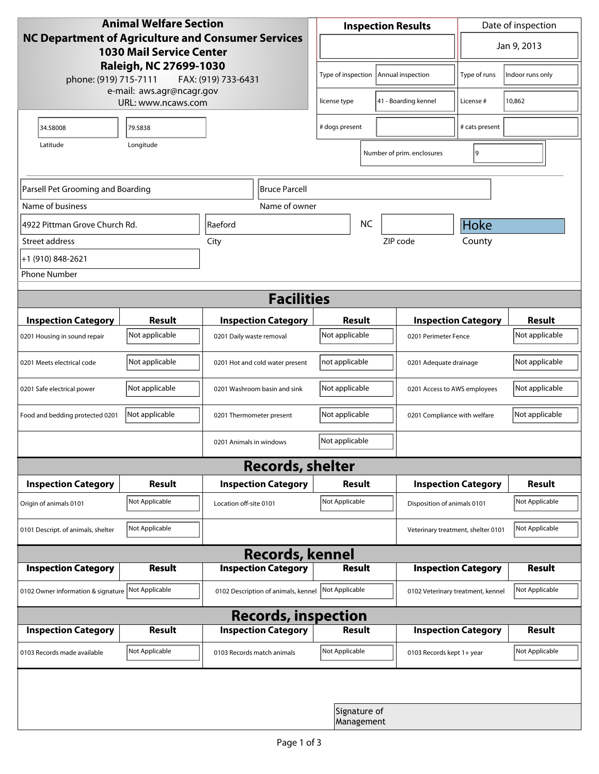| <b>Animal Welfare Section</b><br><b>NC Department of Agriculture and Consumer Services</b><br><b>1030 Mail Service Center</b> |                |                                     |                                         | <b>Inspection Results</b>  |                                   |                              | Date of inspection |  |
|-------------------------------------------------------------------------------------------------------------------------------|----------------|-------------------------------------|-----------------------------------------|----------------------------|-----------------------------------|------------------------------|--------------------|--|
|                                                                                                                               |                |                                     |                                         | ▼                          |                                   |                              | Jan 9, 2013        |  |
| Raleigh, NC 27699-1030<br>phone: (919) 715-7111<br>FAX: (919) 733-6431                                                        |                |                                     | Type of inspection<br>Annual inspection |                            | Type of runs                      | Indoor runs only             |                    |  |
| e-mail: aws.agr@ncagr.gov<br>URL: www.ncaws.com                                                                               |                |                                     | 41 - Boarding kennel<br>license type    |                            | License #                         | 10,862                       |                    |  |
| 34.58008                                                                                                                      | 79.5838        |                                     | # dogs present                          |                            |                                   | # cats present               |                    |  |
| Latitude                                                                                                                      | Longitude      |                                     |                                         |                            | Number of prim. enclosures        | 9                            |                    |  |
| Parsell Pet Grooming and Boarding<br><b>Bruce Parcell</b>                                                                     |                |                                     |                                         |                            |                                   |                              |                    |  |
| Name of business                                                                                                              |                | Name of owner                       |                                         |                            |                                   |                              |                    |  |
| 4922 Pittman Grove Church Rd.                                                                                                 |                | Raeford                             |                                         | <b>NC</b>                  |                                   | Hoke                         |                    |  |
| Street address                                                                                                                |                | City                                | ZIP code                                |                            |                                   | County                       |                    |  |
| +1 (910) 848-2621                                                                                                             |                |                                     |                                         |                            |                                   |                              |                    |  |
| <b>Phone Number</b>                                                                                                           |                |                                     |                                         |                            |                                   |                              |                    |  |
| <b>Facilities</b>                                                                                                             |                |                                     |                                         |                            |                                   |                              |                    |  |
| <b>Inspection Category</b>                                                                                                    | Result         | <b>Inspection Category</b>          | Result                                  |                            | <b>Inspection Category</b>        |                              | Result             |  |
| 0201 Housing in sound repair                                                                                                  | Not applicable | 0201 Daily waste removal            | Not applicable                          |                            | 0201 Perimeter Fence              |                              | Not applicable     |  |
| 0201 Meets electrical code                                                                                                    | Not applicable | 0201 Hot and cold water present     | not applicable                          |                            |                                   | 0201 Adequate drainage       |                    |  |
| 0201 Safe electrical power                                                                                                    | Not applicable | 0201 Washroom basin and sink        | Not applicable                          |                            |                                   | 0201 Access to AWS employees |                    |  |
| Food and bedding protected 0201                                                                                               | Not applicable | 0201 Thermometer present            | Not applicable                          |                            |                                   | 0201 Compliance with welfare |                    |  |
|                                                                                                                               |                | 0201 Animals in windows             | Not applicable                          |                            |                                   |                              |                    |  |
| <b>Records, shelter</b>                                                                                                       |                |                                     |                                         |                            |                                   |                              |                    |  |
| <b>Inspection Category</b>                                                                                                    | Result         | <b>Inspection Category</b>          | Result                                  |                            | <b>Inspection Category</b>        |                              | Result             |  |
| Origin of animals 0101                                                                                                        | Not Applicable | Location off-site 0101              | Not Applicable                          |                            | Disposition of animals 0101       |                              | Not Applicable     |  |
| 0101 Descript. of animals, shelter                                                                                            | Not Applicable |                                     | Veterinary treatment, shelter 0101      |                            |                                   |                              | Not Applicable     |  |
| <b>Records, kennel</b>                                                                                                        |                |                                     |                                         |                            |                                   |                              |                    |  |
| <b>Inspection Category</b>                                                                                                    | Result         | <b>Inspection Category</b>          | <b>Result</b>                           |                            | <b>Inspection Category</b>        |                              | <b>Result</b>      |  |
| 0102 Owner information & signature                                                                                            | Not Applicable | 0102 Description of animals, kennel | Not Applicable                          |                            | 0102 Veterinary treatment, kennel |                              | Not Applicable     |  |
| <b>Records, inspection</b>                                                                                                    |                |                                     |                                         |                            |                                   |                              |                    |  |
| <b>Inspection Category</b>                                                                                                    | Result         | <b>Inspection Category</b>          | Result                                  |                            | <b>Inspection Category</b>        |                              | Result             |  |
| 0103 Records made available                                                                                                   | Not Applicable | 0103 Records match animals          | Not Applicable                          |                            | 0103 Records kept 1+ year         |                              | Not Applicable     |  |
|                                                                                                                               |                |                                     |                                         |                            |                                   |                              |                    |  |
|                                                                                                                               |                |                                     |                                         | Signature of<br>Management |                                   |                              |                    |  |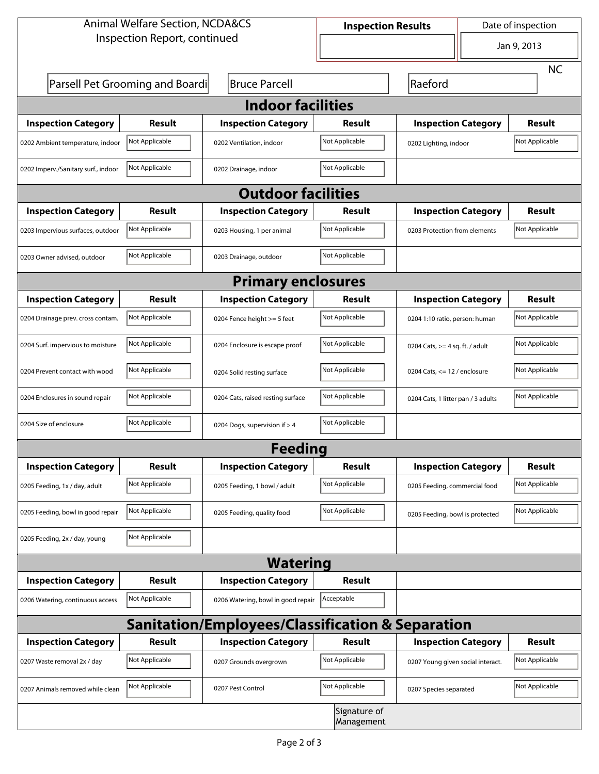| <b>Animal Welfare Section, NCDA&amp;CS</b>                  |                                 |                                    | Date of inspection<br><b>Inspection Results</b> |                                         |  |                |  |
|-------------------------------------------------------------|---------------------------------|------------------------------------|-------------------------------------------------|-----------------------------------------|--|----------------|--|
| Inspection Report, continued                                |                                 |                                    |                                                 | $\blacktriangledown$                    |  | Jan 9, 2013    |  |
|                                                             |                                 |                                    |                                                 |                                         |  | <b>NC</b>      |  |
|                                                             | Parsell Pet Grooming and Boardi | <b>Bruce Parcell</b>               |                                                 | Raeford                                 |  |                |  |
| <b>Indoor facilities</b>                                    |                                 |                                    |                                                 |                                         |  |                |  |
| <b>Inspection Category</b>                                  | Result                          | <b>Inspection Category</b>         | Result                                          | <b>Inspection Category</b>              |  | <b>Result</b>  |  |
| 0202 Ambient temperature, indoor                            | Not Applicable                  | 0202 Ventilation, indoor           | Not Applicable                                  | Not Applicable<br>0202 Lighting, indoor |  |                |  |
| 0202 Imperv./Sanitary surf., indoor                         | Not Applicable                  | 0202 Drainage, indoor              | Not Applicable                                  |                                         |  |                |  |
| <b>Outdoor facilities</b>                                   |                                 |                                    |                                                 |                                         |  |                |  |
| <b>Inspection Category</b>                                  | Result                          | <b>Inspection Category</b>         | Result                                          | <b>Inspection Category</b>              |  | <b>Result</b>  |  |
| 0203 Impervious surfaces, outdoor                           | Not Applicable                  | 0203 Housing, 1 per animal         | Not Applicable                                  | 0203 Protection from elements           |  | Not Applicable |  |
| 0203 Owner advised, outdoor                                 | Not Applicable                  | 0203 Drainage, outdoor             | Not Applicable                                  |                                         |  |                |  |
| <b>Primary enclosures</b>                                   |                                 |                                    |                                                 |                                         |  |                |  |
| <b>Inspection Category</b>                                  | Result                          | <b>Inspection Category</b>         | Result                                          | <b>Inspection Category</b>              |  | Result         |  |
| 0204 Drainage prev. cross contam.                           | Not Applicable                  | 0204 Fence height >= 5 feet        | Not Applicable                                  | 0204 1:10 ratio, person: human          |  | Not Applicable |  |
| 0204 Surf. impervious to moisture                           | Not Applicable                  | 0204 Enclosure is escape proof     | Not Applicable                                  | 0204 Cats, $>=$ 4 sq. ft. / adult       |  | Not Applicable |  |
| 0204 Prevent contact with wood                              | Not Applicable                  | 0204 Solid resting surface         | Not Applicable                                  | 0204 Cats, <= 12 / enclosure            |  | Not Applicable |  |
| 0204 Enclosures in sound repair                             | Not Applicable                  | 0204 Cats, raised resting surface  | Not Applicable                                  | 0204 Cats, 1 litter pan / 3 adults      |  | Not Applicable |  |
| 0204 Size of enclosure                                      | Not Applicable                  | 0204 Dogs, supervision if > 4      | Not Applicable                                  |                                         |  |                |  |
|                                                             |                                 | <b>Feeding</b>                     |                                                 |                                         |  |                |  |
| <b>Inspection Category</b>                                  | Result                          | <b>Inspection Category</b>         | Result                                          | <b>Inspection Category</b>              |  | <b>Result</b>  |  |
| 0205 Feeding, 1x / day, adult                               | Not Applicable                  | 0205 Feeding, 1 bowl / adult       | Not Applicable                                  | 0205 Feeding, commercial food           |  | Not Applicable |  |
| 0205 Feeding, bowl in good repair                           | Not Applicable                  | 0205 Feeding, quality food         | Not Applicable                                  | 0205 Feeding, bowl is protected         |  | Not Applicable |  |
| 0205 Feeding, 2x / day, young                               | Not Applicable                  |                                    |                                                 |                                         |  |                |  |
|                                                             |                                 | <b>Watering</b>                    |                                                 |                                         |  |                |  |
| <b>Inspection Category</b>                                  | Result                          | <b>Inspection Category</b>         | Result                                          |                                         |  |                |  |
| 0206 Watering, continuous access                            | Not Applicable                  | 0206 Watering, bowl in good repair | Acceptable                                      |                                         |  |                |  |
| <b>Sanitation/Employees/Classification &amp; Separation</b> |                                 |                                    |                                                 |                                         |  |                |  |
| <b>Inspection Category</b>                                  | Result                          | <b>Inspection Category</b>         | Result                                          | <b>Inspection Category</b>              |  | Result         |  |
| 0207 Waste removal 2x / day                                 | Not Applicable                  | 0207 Grounds overgrown             | Not Applicable                                  | 0207 Young given social interact.       |  | Not Applicable |  |
| 0207 Animals removed while clean                            | Not Applicable                  | 0207 Pest Control                  | Not Applicable                                  | 0207 Species separated                  |  | Not Applicable |  |
| Signature of<br>Management                                  |                                 |                                    |                                                 |                                         |  |                |  |